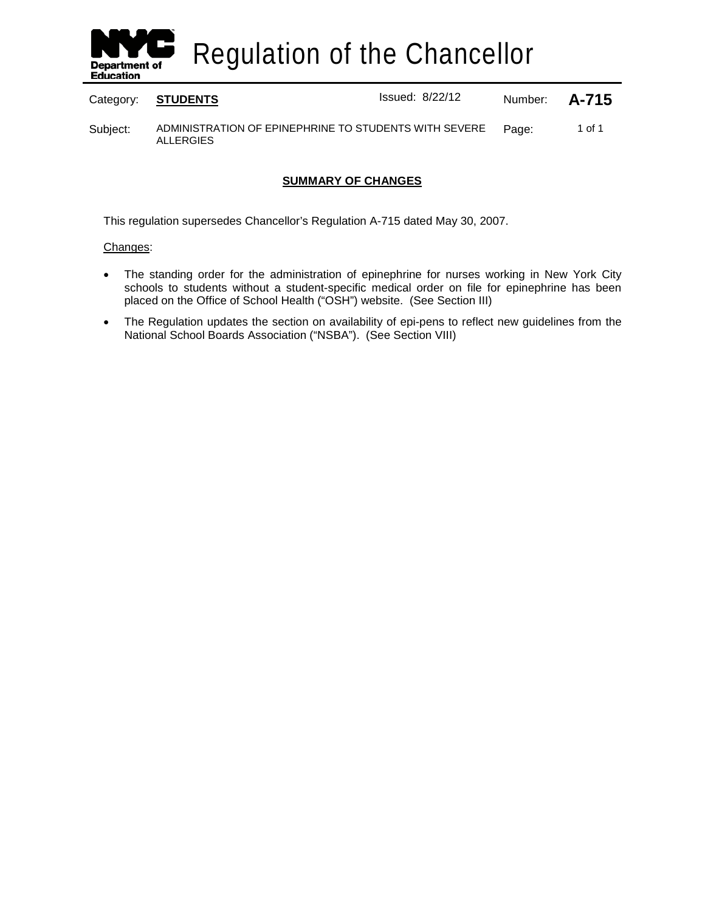

Regulation of the Chancellor

Category: **STUDENTS ISSUED:** Issued: 8/22/12 Number: **A-715** 

Subject: ADMINISTRATION OF EPINEPHRINE TO STUDENTS WITH SEVERE ALLERGIES Page: 1 of 1

# **SUMMARY OF CHANGES**

This regulation supersedes Chancellor's Regulation A-715 dated May 30, 2007.

### Changes:

- The standing order for the administration of epinephrine for nurses working in New York City schools to students without a student-specific medical order on file for epinephrine has been placed on the Office of School Health ("OSH") website. (See Section III)
- The Regulation updates the section on availability of epi-pens to reflect new guidelines from the National School Boards Association ("NSBA"). (See Section VIII)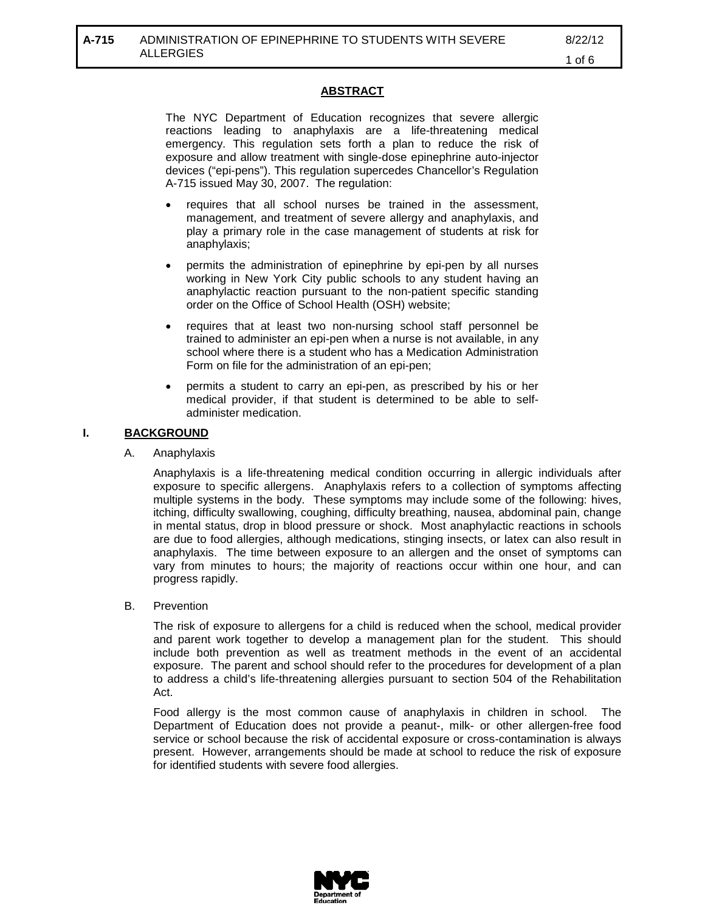## **ABSTRACT**

The NYC Department of Education recognizes that severe allergic reactions leading to anaphylaxis are a life-threatening medical emergency. This regulation sets forth a plan to reduce the risk of exposure and allow treatment with single-dose epinephrine auto-injector devices ("epi-pens"). This regulation supercedes Chancellor's Regulation A-715 issued May 30, 2007. The regulation:

- requires that all school nurses be trained in the assessment, management, and treatment of severe allergy and anaphylaxis, and play a primary role in the case management of students at risk for anaphylaxis;
- permits the administration of epinephrine by epi-pen by all nurses working in New York City public schools to any student having an anaphylactic reaction pursuant to the non-patient specific standing order on the Office of School Health (OSH) website;
- requires that at least two non-nursing school staff personnel be trained to administer an epi-pen when a nurse is not available, in any school where there is a student who has a Medication Administration Form on file for the administration of an epi-pen;
- permits a student to carry an epi-pen, as prescribed by his or her medical provider, if that student is determined to be able to selfadminister medication.

#### **I. BACKGROUND**

A. Anaphylaxis

Anaphylaxis is a life-threatening medical condition occurring in allergic individuals after exposure to specific allergens. Anaphylaxis refers to a collection of symptoms affecting multiple systems in the body. These symptoms may include some of the following: hives, itching, difficulty swallowing, coughing, difficulty breathing, nausea, abdominal pain, change in mental status, drop in blood pressure or shock. Most anaphylactic reactions in schools are due to food allergies, although medications, stinging insects, or latex can also result in anaphylaxis. The time between exposure to an allergen and the onset of symptoms can vary from minutes to hours; the majority of reactions occur within one hour, and can progress rapidly.

B. Prevention

The risk of exposure to allergens for a child is reduced when the school, medical provider and parent work together to develop a management plan for the student. This should include both prevention as well as treatment methods in the event of an accidental exposure. The parent and school should refer to the procedures for development of a plan to address a child's life-threatening allergies pursuant to section 504 of the Rehabilitation Act.

Food allergy is the most common cause of anaphylaxis in children in school. The Department of Education does not provide a peanut-, milk- or other allergen-free food service or school because the risk of accidental exposure or cross-contamination is always present. However, arrangements should be made at school to reduce the risk of exposure for identified students with severe food allergies.

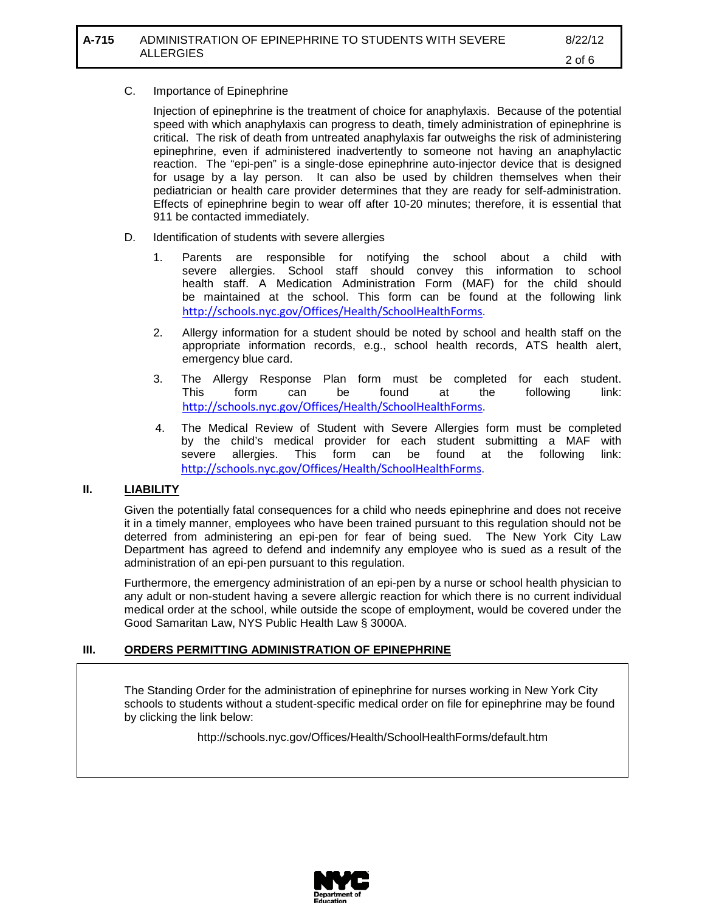# C. Importance of Epinephrine

Injection of epinephrine is the treatment of choice for anaphylaxis. Because of the potential speed with which anaphylaxis can progress to death, timely administration of epinephrine is critical. The risk of death from untreated anaphylaxis far outweighs the risk of administering epinephrine, even if administered inadvertently to someone not having an anaphylactic reaction. The "epi-pen" is a single-dose epinephrine auto-injector device that is designed for usage by a lay person. It can also be used by children themselves when their pediatrician or health care provider determines that they are ready for self-administration. Effects of epinephrine begin to wear off after 10-20 minutes; therefore, it is essential that 911 be contacted immediately.

- D. Identification of students with severe allergies
	- 1. Parents are responsible for notifying the school about a child with severe allergies. School staff should convey this information to school health staff. A Medication Administration Form (MAF) for the child should be maintained at the school. This form can be found at the following link [http://schools.nyc.gov/Offices/Health/SchoolHealthForms.](http://schools.nyc.gov/Offices/Health/SchoolHealthForms)
	- 2. Allergy information for a student should be noted by school and health staff on the appropriate information records, e.g., school health records, ATS health alert, emergency blue card.
	- 3. The Allergy Response Plan form must be completed for each student. This form can be found at the following link: [http://schools.nyc.gov/Offices/Health/SchoolHealthForms.](http://schools.nyc.gov/Offices/Health/SchoolHealthForms)
	- 4. The Medical Review of Student with Severe Allergies form must be completed by the child's medical provider for each student submitting a MAF with severe allergies. This form can be found at the following link: [http://schools.nyc.gov/Offices/Health/SchoolHealthForms.](http://schools.nyc.gov/Offices/Health/SchoolHealthForms)

### **II. LIABILITY**

Given the potentially fatal consequences for a child who needs epinephrine and does not receive it in a timely manner, employees who have been trained pursuant to this regulation should not be deterred from administering an epi-pen for fear of being sued. The New York City Law Department has agreed to defend and indemnify any employee who is sued as a result of the administration of an epi-pen pursuant to this regulation.

Furthermore, the emergency administration of an epi-pen by a nurse or school health physician to any adult or non-student having a severe allergic reaction for which there is no current individual medical order at the school, while outside the scope of employment, would be covered under the Good Samaritan Law, NYS Public Health Law § 3000A.

# **III. ORDERS PERMITTING ADMINISTRATION OF EPINEPHRINE**

The Standing Order for the administration of epinephrine for nurses working in New York City schools to students without a student-specific medical order on file for epinephrine may be found by clicking the link below:

http://schools.nyc.gov/Offices/Health/SchoolHealthForms/default.htm

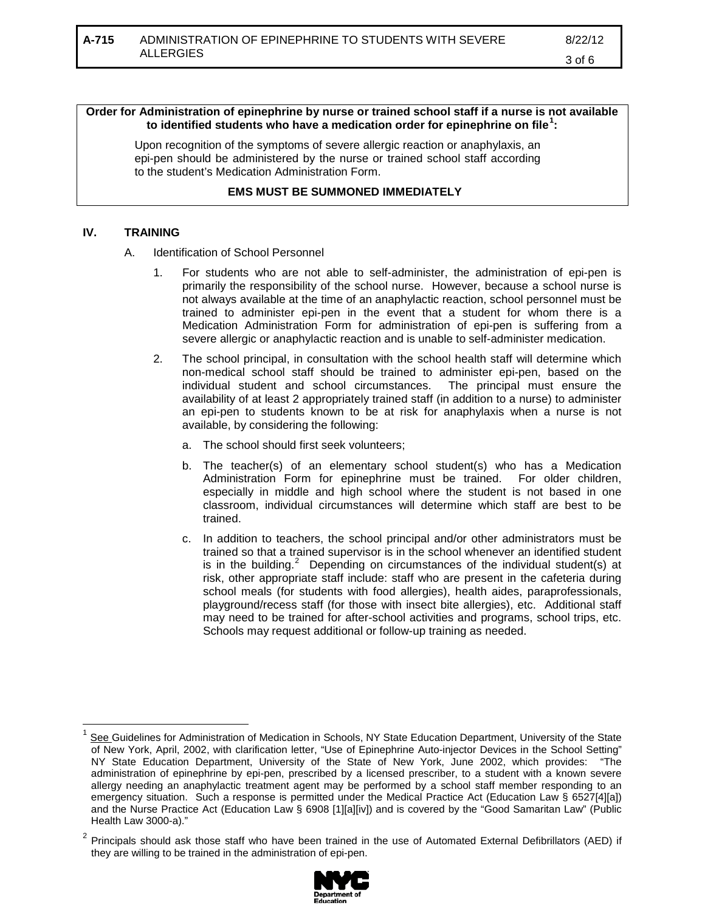## 3 of 6

### **Order for Administration of epinephrine by nurse or trained school staff if a nurse is not available to identified students who have a medication order for epinephrine on file[1](#page-3-0) :**

Upon recognition of the symptoms of severe allergic reaction or anaphylaxis, an epi-pen should be administered by the nurse or trained school staff according to the student's Medication Administration Form.

### **EMS MUST BE SUMMONED IMMEDIATELY**

### **IV. TRAINING**

A. Identification of School Personnel

- 1. For students who are not able to self-administer, the administration of epi-pen is primarily the responsibility of the school nurse. However, because a school nurse is not always available at the time of an anaphylactic reaction, school personnel must be trained to administer epi-pen in the event that a student for whom there is a Medication Administration Form for administration of epi-pen is suffering from a severe allergic or anaphylactic reaction and is unable to self-administer medication.
- 2. The school principal, in consultation with the school health staff will determine which non-medical school staff should be trained to administer epi-pen, based on the individual student and school circumstances. The principal must ensure the availability of at least 2 appropriately trained staff (in addition to a nurse) to administer an epi-pen to students known to be at risk for anaphylaxis when a nurse is not available, by considering the following:
	- a. The school should first seek volunteers;
	- b. The teacher(s) of an elementary school student(s) who has a Medication Administration Form for epinephrine must be trained. For older children, especially in middle and high school where the student is not based in one classroom, individual circumstances will determine which staff are best to be trained.
	- c. In addition to teachers, the school principal and/or other administrators must be trained so that a trained supervisor is in the school whenever an identified student is in the building.<sup>[2](#page-3-1)</sup> Depending on circumstances of the individual student(s) at risk, other appropriate staff include: staff who are present in the cafeteria during school meals (for students with food allergies), health aides, paraprofessionals, playground/recess staff (for those with insect bite allergies), etc. Additional staff may need to be trained for after-school activities and programs, school trips, etc. Schools may request additional or follow-up training as needed.

<span id="page-3-1"></span> $2$  Principals should ask those staff who have been trained in the use of Automated External Defibrillators (AED) if they are willing to be trained in the administration of epi-pen.



<span id="page-3-0"></span>See Guidelines for Administration of Medication in Schools, NY State Education Department, University of the State of New York, April, 2002, with clarification letter, "Use of Epinephrine Auto-injector Devices in the School Setting" NY State Education Department, University of the State of New York, June 2002, which provides: "The administration of epinephrine by epi-pen, prescribed by a licensed prescriber, to a student with a known severe allergy needing an anaphylactic treatment agent may be performed by a school staff member responding to an emergency situation. Such a response is permitted under the Medical Practice Act (Education Law § 6527[4][a]) and the Nurse Practice Act (Education Law § 6908 [1][a][iv]) and is covered by the "Good Samaritan Law" (Public Health Law 3000-a)."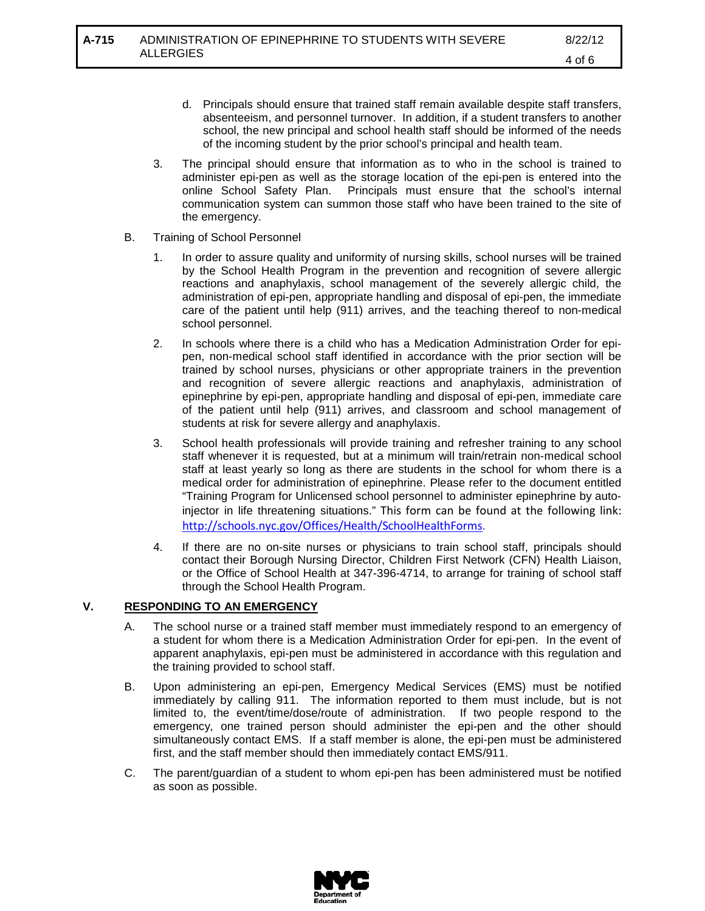- d. Principals should ensure that trained staff remain available despite staff transfers, absenteeism, and personnel turnover. In addition, if a student transfers to another school, the new principal and school health staff should be informed of the needs of the incoming student by the prior school's principal and health team.
- 3. The principal should ensure that information as to who in the school is trained to administer epi-pen as well as the storage location of the epi-pen is entered into the online School Safety Plan. Principals must ensure that the school's internal communication system can summon those staff who have been trained to the site of the emergency.
- B. Training of School Personnel
	- 1. In order to assure quality and uniformity of nursing skills, school nurses will be trained by the School Health Program in the prevention and recognition of severe allergic reactions and anaphylaxis, school management of the severely allergic child, the administration of epi-pen, appropriate handling and disposal of epi-pen, the immediate care of the patient until help (911) arrives, and the teaching thereof to non-medical school personnel.
	- 2. In schools where there is a child who has a Medication Administration Order for epipen, non-medical school staff identified in accordance with the prior section will be trained by school nurses, physicians or other appropriate trainers in the prevention and recognition of severe allergic reactions and anaphylaxis, administration of epinephrine by epi-pen, appropriate handling and disposal of epi-pen, immediate care of the patient until help (911) arrives, and classroom and school management of students at risk for severe allergy and anaphylaxis.
	- 3. School health professionals will provide training and refresher training to any school staff whenever it is requested, but at a minimum will train/retrain non-medical school staff at least yearly so long as there are students in the school for whom there is a medical order for administration of epinephrine. Please refer to the document entitled "Training Program for Unlicensed school personnel to administer epinephrine by autoinjector in life threatening situations." This form can be found at the following link: [http://schools.nyc.gov/Offices/Health/SchoolHealthForms.](http://schools.nyc.gov/Offices/Health/SchoolHealthForms)
	- 4. If there are no on-site nurses or physicians to train school staff, principals should contact their Borough Nursing Director, Children First Network (CFN) Health Liaison, or the Office of School Health at 347-396-4714, to arrange for training of school staff through the School Health Program.

### **V. RESPONDING TO AN EMERGENCY**

- A. The school nurse or a trained staff member must immediately respond to an emergency of a student for whom there is a Medication Administration Order for epi-pen. In the event of apparent anaphylaxis, epi-pen must be administered in accordance with this regulation and the training provided to school staff.
- B. Upon administering an epi-pen, Emergency Medical Services (EMS) must be notified immediately by calling 911. The information reported to them must include, but is not limited to, the event/time/dose/route of administration. If two people respond to the emergency, one trained person should administer the epi-pen and the other should simultaneously contact EMS. If a staff member is alone, the epi-pen must be administered first, and the staff member should then immediately contact EMS/911.
- C. The parent/guardian of a student to whom epi-pen has been administered must be notified as soon as possible.

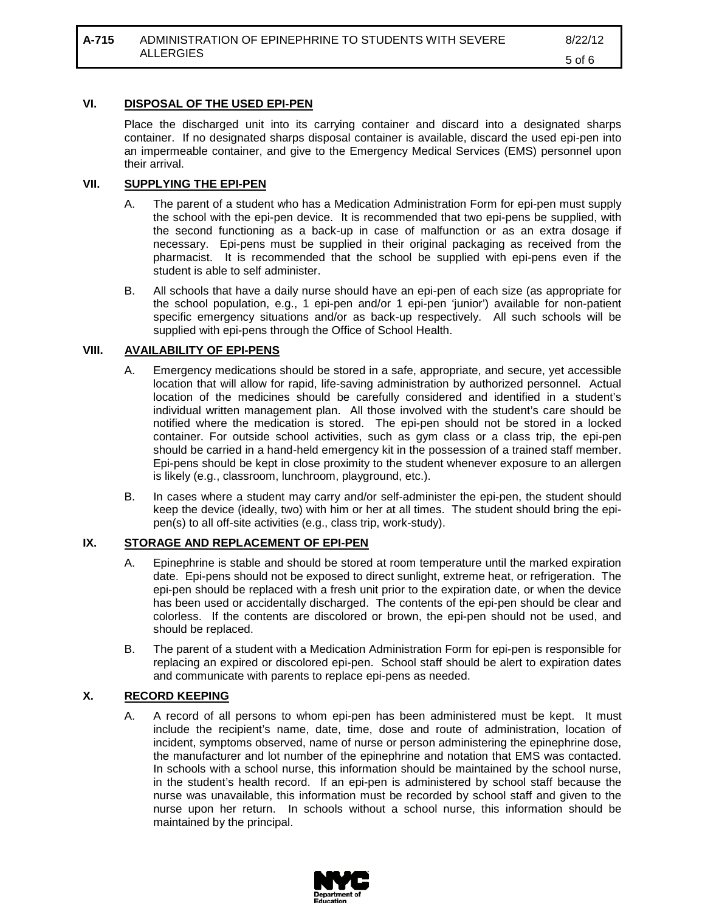### **VI. DISPOSAL OF THE USED EPI-PEN**

Place the discharged unit into its carrying container and discard into a designated sharps container. If no designated sharps disposal container is available, discard the used epi-pen into an impermeable container, and give to the Emergency Medical Services (EMS) personnel upon their arrival.

### **VII. SUPPLYING THE EPI-PEN**

- A. The parent of a student who has a Medication Administration Form for epi-pen must supply the school with the epi-pen device. It is recommended that two epi-pens be supplied, with the second functioning as a back-up in case of malfunction or as an extra dosage if necessary. Epi-pens must be supplied in their original packaging as received from the pharmacist. It is recommended that the school be supplied with epi-pens even if the student is able to self administer.
- B. All schools that have a daily nurse should have an epi-pen of each size (as appropriate for the school population, e.g., 1 epi-pen and/or 1 epi-pen 'junior') available for non-patient specific emergency situations and/or as back-up respectively. All such schools will be supplied with epi-pens through the Office of School Health.

#### **VIII. AVAILABILITY OF EPI-PENS**

- A. Emergency medications should be stored in a safe, appropriate, and secure, yet accessible location that will allow for rapid, life-saving administration by authorized personnel. Actual location of the medicines should be carefully considered and identified in a student's individual written management plan. All those involved with the student's care should be notified where the medication is stored. The epi-pen should not be stored in a locked container. For outside school activities, such as gym class or a class trip, the epi-pen should be carried in a hand-held emergency kit in the possession of a trained staff member. Epi-pens should be kept in close proximity to the student whenever exposure to an allergen is likely (e.g., classroom, lunchroom, playground, etc.).
- B. In cases where a student may carry and/or self-administer the epi-pen, the student should keep the device (ideally, two) with him or her at all times. The student should bring the epipen(s) to all off-site activities (e.g., class trip, work-study).

#### **IX. STORAGE AND REPLACEMENT OF EPI-PEN**

- A. Epinephrine is stable and should be stored at room temperature until the marked expiration date. Epi-pens should not be exposed to direct sunlight, extreme heat, or refrigeration. The epi-pen should be replaced with a fresh unit prior to the expiration date, or when the device has been used or accidentally discharged. The contents of the epi-pen should be clear and colorless. If the contents are discolored or brown, the epi-pen should not be used, and should be replaced.
- B. The parent of a student with a Medication Administration Form for epi-pen is responsible for replacing an expired or discolored epi-pen. School staff should be alert to expiration dates and communicate with parents to replace epi-pens as needed.

### **X. RECORD KEEPING**

A. A record of all persons to whom epi-pen has been administered must be kept. It must include the recipient's name, date, time, dose and route of administration, location of incident, symptoms observed, name of nurse or person administering the epinephrine dose, the manufacturer and lot number of the epinephrine and notation that EMS was contacted. In schools with a school nurse, this information should be maintained by the school nurse, in the student's health record. If an epi-pen is administered by school staff because the nurse was unavailable, this information must be recorded by school staff and given to the nurse upon her return. In schools without a school nurse, this information should be maintained by the principal.